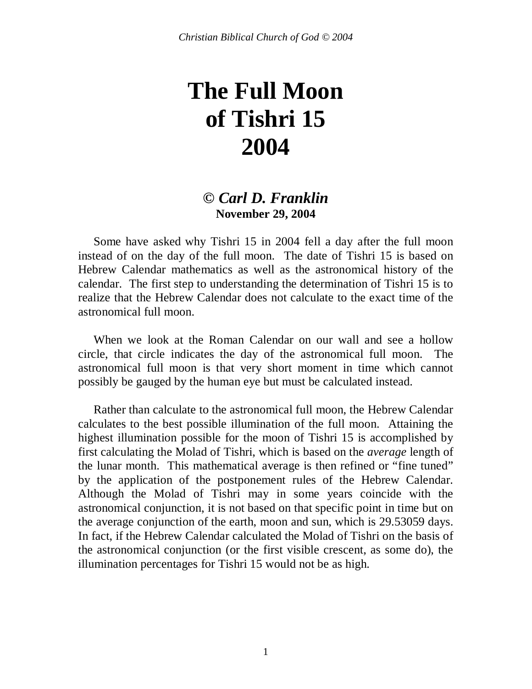# **The Full Moon of Tishri 15 2004**

#### *© Carl D. Franklin* **November 29, 2004**

 Some have asked why Tishri 15 in 2004 fell a day after the full moon instead of on the day of the full moon. The date of Tishri 15 is based on Hebrew Calendar mathematics as well as the astronomical history of the calendar. The first step to understanding the determination of Tishri 15 is to realize that the Hebrew Calendar does not calculate to the exact time of the astronomical full moon.

 When we look at the Roman Calendar on our wall and see a hollow circle, that circle indicates the day of the astronomical full moon. The astronomical full moon is that very short moment in time which cannot possibly be gauged by the human eye but must be calculated instead.

 Rather than calculate to the astronomical full moon, the Hebrew Calendar calculates to the best possible illumination of the full moon. Attaining the highest illumination possible for the moon of Tishri 15 is accomplished by first calculating the Molad of Tishri, which is based on the *average* length of the lunar month. This mathematical average is then refined or "fine tuned" by the application of the postponement rules of the Hebrew Calendar. Although the Molad of Tishri may in some years coincide with the astronomical conjunction, it is not based on that specific point in time but on the average conjunction of the earth, moon and sun, which is 29.53059 days. In fact, if the Hebrew Calendar calculated the Molad of Tishri on the basis of the astronomical conjunction (or the first visible crescent, as some do), the illumination percentages for Tishri 15 would not be as high.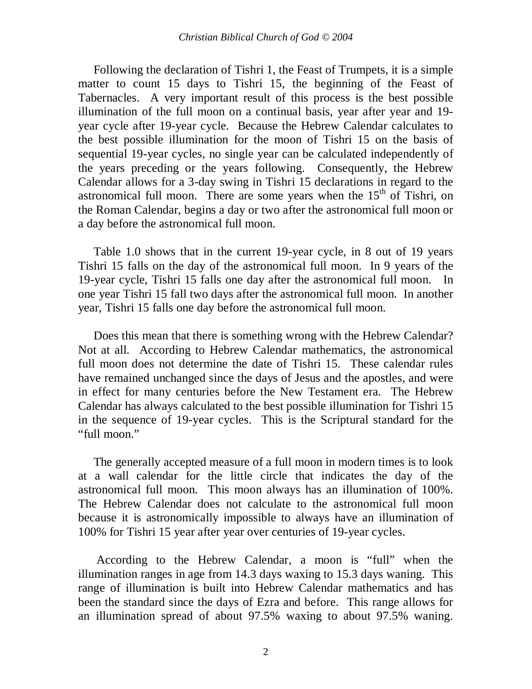Following the declaration of Tishri 1, the Feast of Trumpets, it is a simple matter to count 15 days to Tishri 15, the beginning of the Feast of Tabernacles. A very important result of this process is the best possible illumination of the full moon on a continual basis, year after year and 19 year cycle after 19-year cycle. Because the Hebrew Calendar calculates to the best possible illumination for the moon of Tishri 15 on the basis of sequential 19-year cycles, no single year can be calculated independently of the years preceding or the years following. Consequently, the Hebrew Calendar allows for a 3-day swing in Tishri 15 declarations in regard to the astronomical full moon. There are some years when the  $15<sup>th</sup>$  of Tishri, on the Roman Calendar, begins a day or two after the astronomical full moon or a day before the astronomical full moon.

 Table 1.0 shows that in the current 19-year cycle, in 8 out of 19 years Tishri 15 falls on the day of the astronomical full moon. In 9 years of the 19-year cycle, Tishri 15 falls one day after the astronomical full moon. In one year Tishri 15 fall two days after the astronomical full moon. In another year, Tishri 15 falls one day before the astronomical full moon.

 Does this mean that there is something wrong with the Hebrew Calendar? Not at all. According to Hebrew Calendar mathematics, the astronomical full moon does not determine the date of Tishri 15. These calendar rules have remained unchanged since the days of Jesus and the apostles, and were in effect for many centuries before the New Testament era. The Hebrew Calendar has always calculated to the best possible illumination for Tishri 15 in the sequence of 19-year cycles. This is the Scriptural standard for the "full moon."

 The generally accepted measure of a full moon in modern times is to look at a wall calendar for the little circle that indicates the day of the astronomical full moon. This moon always has an illumination of 100%. The Hebrew Calendar does not calculate to the astronomical full moon because it is astronomically impossible to always have an illumination of 100% for Tishri 15 year after year over centuries of 19-year cycles.

 According to the Hebrew Calendar, a moon is "full" when the illumination ranges in age from 14.3 days waxing to 15.3 days waning. This range of illumination is built into Hebrew Calendar mathematics and has been the standard since the days of Ezra and before. This range allows for an illumination spread of about 97.5% waxing to about 97.5% waning.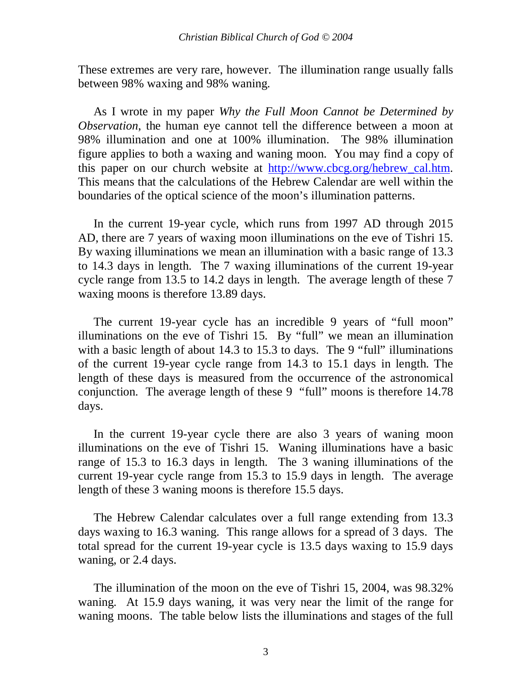These extremes are very rare, however. The illumination range usually falls between 98% waxing and 98% waning.

 As I wrote in my paper *Why the Full Moon Cannot be Determined by Observation*, the human eye cannot tell the difference between a moon at 98% illumination and one at 100% illumination. The 98% illumination figure applies to both a waxing and waning moon. You may find a copy of this paper on our church website at [http://www.cbcg.org/hebrew\\_cal.htm.](http://www.cbcg.org/hebrew_cal.htm) This means that the calculations of the Hebrew Calendar are well within the boundaries of the optical science of the moon's illumination patterns.

 In the current 19-year cycle, which runs from 1997 AD through 2015 AD, there are 7 years of waxing moon illuminations on the eve of Tishri 15. By waxing illuminations we mean an illumination with a basic range of 13.3 to 14.3 days in length. The 7 waxing illuminations of the current 19-year cycle range from 13.5 to 14.2 days in length. The average length of these 7 waxing moons is therefore 13.89 days.

 The current 19-year cycle has an incredible 9 years of "full moon" illuminations on the eve of Tishri 15. By "full" we mean an illumination with a basic length of about 14.3 to 15.3 to days. The 9 "full" illuminations of the current 19-year cycle range from 14.3 to 15.1 days in length. The length of these days is measured from the occurrence of the astronomical conjunction. The average length of these 9 "full" moons is therefore 14.78 days.

In the current 19-year cycle there are also 3 years of waning moon illuminations on the eve of Tishri 15. Waning illuminations have a basic range of 15.3 to 16.3 days in length. The 3 waning illuminations of the current 19-year cycle range from 15.3 to 15.9 days in length. The average length of these 3 waning moons is therefore 15.5 days.

 The Hebrew Calendar calculates over a full range extending from 13.3 days waxing to 16.3 waning. This range allows for a spread of 3 days. The total spread for the current 19-year cycle is 13.5 days waxing to 15.9 days waning, or 2.4 days.

 The illumination of the moon on the eve of Tishri 15, 2004, was 98.32% waning. At 15.9 days waning, it was very near the limit of the range for waning moons. The table below lists the illuminations and stages of the full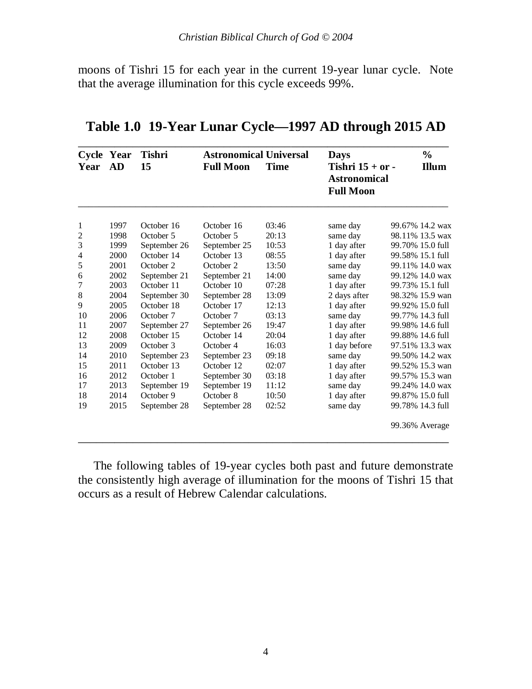moons of Tishri 15 for each year in the current 19-year lunar cycle. Note that the average illumination for this cycle exceeds 99%.

| Year | Cycle Year<br>AD | <b>Tishri</b><br>15 | <b>Astronomical Universal</b><br><b>Full Moon</b> | <b>Time</b> | <b>Days</b><br>Tishri $15 + or -$<br><b>Astronomical</b><br><b>Full Moon</b> | $\frac{0}{0}$<br><b>Illum</b> |
|------|------------------|---------------------|---------------------------------------------------|-------------|------------------------------------------------------------------------------|-------------------------------|
| 1    | 1997             | October 16          | October 16                                        | 03:46       | same day                                                                     | 99.67% 14.2 wax               |
| 2    | 1998             | October 5           | October 5                                         | 20:13       | same day                                                                     | 98.11% 13.5 wax               |
| 3    | 1999             | September 26        | September 25                                      | 10:53       | 1 day after                                                                  | 99.70% 15.0 full              |
| 4    | 2000             | October 14          | October 13                                        | 08:55       | 1 day after                                                                  | 99.58% 15.1 full              |
| 5    | 2001             | October 2           | October 2                                         | 13:50       | same day                                                                     | 99.11% 14.0 wax               |
| 6    | 2002             | September 21        | September 21                                      | 14:00       | same day                                                                     | 99.12% 14.0 wax               |
| 7    | 2003             | October 11          | October 10                                        | 07:28       | 1 day after                                                                  | 99.73% 15.1 full              |
| 8    | 2004             | September 30        | September 28                                      | 13:09       | 2 days after                                                                 | 98.32% 15.9 wan               |
| 9    | 2005             | October 18          | October 17                                        | 12:13       | 1 day after                                                                  | 99.92% 15.0 full              |
| 10   | 2006             | October 7           | October 7                                         | 03:13       | same day                                                                     | 99.77% 14.3 full              |
| 11   | 2007             | September 27        | September 26                                      | 19:47       | 1 day after                                                                  | 99.98% 14.6 full              |
| 12   | 2008             | October 15          | October 14                                        | 20:04       | 1 day after                                                                  | 99.88% 14.6 full              |
| 13   | 2009             | October 3           | October 4                                         | 16:03       | 1 day before                                                                 | 97.51% 13.3 wax               |
| 14   | 2010             | September 23        | September 23                                      | 09:18       | same day                                                                     | 99.50% 14.2 wax               |
| 15   | 2011             | October 13          | October 12                                        | 02:07       | 1 day after                                                                  | 99.52% 15.3 wan               |
| 16   | 2012             | October 1           | September 30                                      | 03:18       | 1 day after                                                                  | 99.57% 15.3 wan               |
| 17   | 2013             | September 19        | September 19                                      | 11:12       | same day                                                                     | 99.24% 14.0 wax               |
| 18   | 2014             | October 9           | October 8                                         | 10:50       | 1 day after                                                                  | 99.87% 15.0 full              |
| 19   | 2015             | September 28        | September 28                                      | 02:52       | same day                                                                     | 99.78% 14.3 full              |
|      |                  |                     |                                                   |             |                                                                              | 99.36% Average                |

## **Table 1.0 19-Year Lunar Cycle—1997 AD through 2015 AD**

 The following tables of 19-year cycles both past and future demonstrate the consistently high average of illumination for the moons of Tishri 15 that occurs as a result of Hebrew Calendar calculations.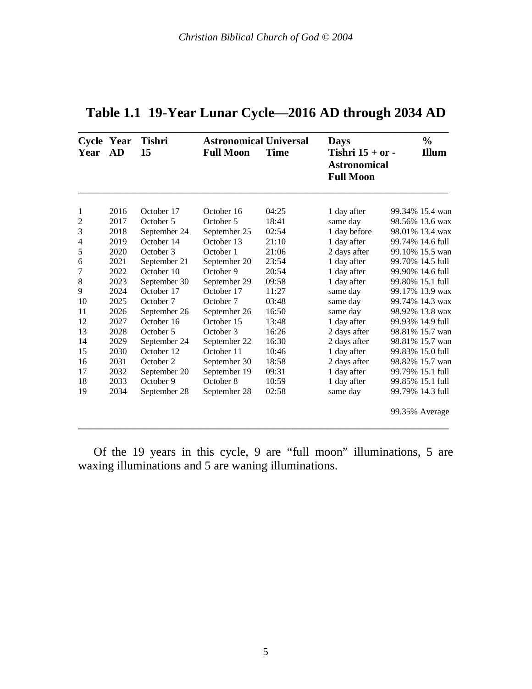| Cycle Year<br>Year | AD   | <b>Tishri</b><br>15 | <b>Astronomical Universal</b><br><b>Full Moon</b> | <b>Time</b> | <b>Days</b><br>Tishri $15 + or -$<br><b>Astronomical</b><br><b>Full Moon</b> | $\frac{0}{0}$<br><b>Illum</b> |
|--------------------|------|---------------------|---------------------------------------------------|-------------|------------------------------------------------------------------------------|-------------------------------|
| 1                  | 2016 | October 17          | October 16                                        | 04:25       | 1 day after                                                                  | 99.34% 15.4 wan               |
| 2                  | 2017 | October 5           | October 5                                         | 18:41       | same day                                                                     | 98.56% 13.6 wax               |
| 3                  | 2018 | September 24        | September 25                                      | 02:54       | 1 day before                                                                 | 98.01% 13.4 wax               |
| 4                  | 2019 | October 14          | October 13                                        | 21:10       | 1 day after                                                                  | 99.74% 14.6 full              |
| 5                  | 2020 | October 3           | October 1                                         | 21:06       | 2 days after                                                                 | 99.10% 15.5 wan               |
| 6                  | 2021 | September 21        | September 20                                      | 23:54       | 1 day after                                                                  | 99.70% 14.5 full              |
| 7                  | 2022 | October 10          | October 9                                         | 20:54       | 1 day after                                                                  | 99.90% 14.6 full              |
| 8                  | 2023 | September 30        | September 29                                      | 09:58       | 1 day after                                                                  | 99.80% 15.1 full              |
| 9                  | 2024 | October 17          | October 17                                        | 11:27       | same day                                                                     | 99.17% 13.9 wax               |
| 10                 | 2025 | October 7           | October 7                                         | 03:48       | same day                                                                     | 99.74% 14.3 wax               |
| 11                 | 2026 | September 26        | September 26                                      | 16:50       | same day                                                                     | 98.92% 13.8 wax               |
| 12                 | 2027 | October 16          | October 15                                        | 13:48       | 1 day after                                                                  | 99.93% 14.9 full              |
| 13                 | 2028 | October 5           | October 3                                         | 16:26       | 2 days after                                                                 | 98.81% 15.7 wan               |
| 14                 | 2029 | September 24        | September 22                                      | 16:30       | 2 days after                                                                 | 98.81% 15.7 wan               |
| 15                 | 2030 | October 12          | October 11                                        | 10:46       | 1 day after                                                                  | 99.83% 15.0 full              |
| 16                 | 2031 | October 2           | September 30                                      | 18:58       | 2 days after                                                                 | 98.82% 15.7 wan               |
| 17                 | 2032 | September 20        | September 19                                      | 09:31       | 1 day after                                                                  | 99.79% 15.1 full              |
| 18                 | 2033 | October 9           | October 8                                         | 10:59       | 1 day after                                                                  | 99.85% 15.1 full              |
| 19                 | 2034 | September 28        | September 28                                      | 02:58       | same day                                                                     | 99.79% 14.3 full              |
|                    |      |                     |                                                   |             |                                                                              | 99.35% Average                |

## **Table 1.1 19-Year Lunar Cycle—2016 AD through 2034 AD**

 Of the 19 years in this cycle, 9 are "full moon" illuminations, 5 are waxing illuminations and 5 are waning illuminations.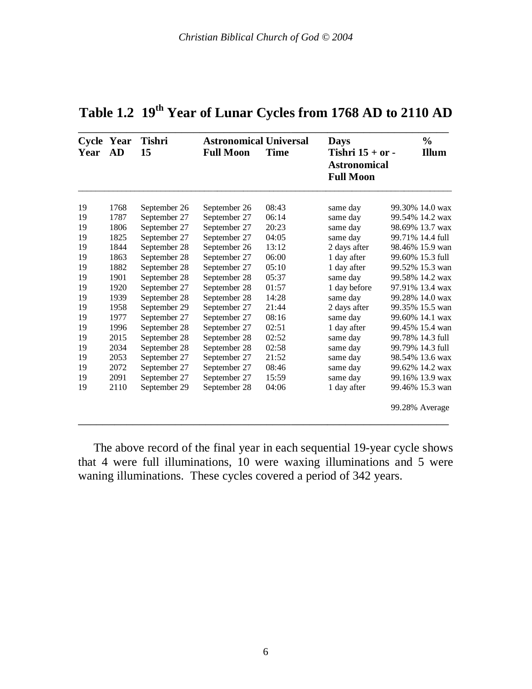| Year | Cycle Year<br>AD | Tishri<br>15 | <b>Astronomical Universal</b><br><b>Full Moon</b> | <b>Time</b> | <b>Days</b><br>Tishri $15 + or -$<br><b>Astronomical</b><br><b>Full Moon</b> | $\frac{6}{6}$<br><b>Illum</b> |
|------|------------------|--------------|---------------------------------------------------|-------------|------------------------------------------------------------------------------|-------------------------------|
| 19   | 1768             | September 26 | September 26                                      | 08:43       | same day                                                                     | 99.30% 14.0 wax               |
| 19   | 1787             | September 27 | September 27                                      | 06:14       | same day                                                                     | 99.54% 14.2 wax               |
| 19   | 1806             | September 27 | September 27                                      | 20:23       | same day                                                                     | 98.69% 13.7 wax               |
| 19   | 1825             | September 27 | September 27                                      | 04:05       | same day                                                                     | 99.71% 14.4 full              |
| 19   | 1844             | September 28 | September 26                                      | 13:12       | 2 days after                                                                 | 98.46% 15.9 wan               |
| 19   | 1863             | September 28 | September 27                                      | 06:00       | 1 day after                                                                  | 99.60% 15.3 full              |
| 19   | 1882             | September 28 | September 27                                      | 05:10       | 1 day after                                                                  | 99.52% 15.3 wan               |
| 19   | 1901             | September 28 | September 28                                      | 05:37       | same day                                                                     | 99.58% 14.2 wax               |
| 19   | 1920             | September 27 | September 28                                      | 01:57       | 1 day before                                                                 | 97.91% 13.4 wax               |
| 19   | 1939             | September 28 | September 28                                      | 14:28       | same day                                                                     | 99.28% 14.0 wax               |
| 19   | 1958             | September 29 | September 27                                      | 21:44       | 2 days after                                                                 | 99.35% 15.5 wan               |
| 19   | 1977             | September 27 | September 27                                      | 08:16       | same day                                                                     | 99.60% 14.1 wax               |
| 19   | 1996             | September 28 | September 27                                      | 02:51       | 1 day after                                                                  | 99.45% 15.4 wan               |
| 19   | 2015             | September 28 | September 28                                      | 02:52       | same day                                                                     | 99.78% 14.3 full              |
| 19   | 2034             | September 28 | September 28                                      | 02:58       | same day                                                                     | 99.79% 14.3 full              |
| 19   | 2053             | September 27 | September 27                                      | 21:52       | same day                                                                     | 98.54% 13.6 wax               |
| 19   | 2072             | September 27 | September 27                                      | 08:46       | same day                                                                     | 99.62% 14.2 wax               |
| 19   | 2091             | September 27 | September 27                                      | 15:59       | same day                                                                     | 99.16% 13.9 wax               |
| 19   | 2110             | September 29 | September 28                                      | 04:06       | 1 day after                                                                  | 99.46% 15.3 wan               |
|      |                  |              |                                                   |             |                                                                              | 99.28% Average                |

## **Table 1.2 19th Year of Lunar Cycles from 1768 AD to 2110 AD**

 The above record of the final year in each sequential 19-year cycle shows that 4 were full illuminations, 10 were waxing illuminations and 5 were waning illuminations. These cycles covered a period of 342 years.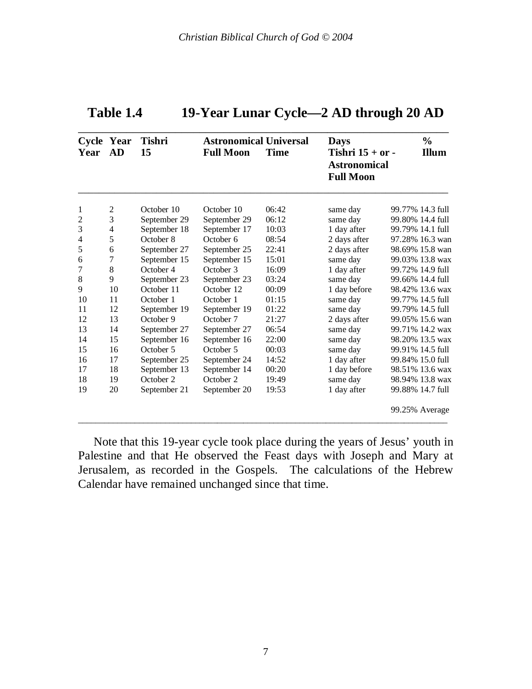| Year | Cycle Year<br>AD | <b>Tishri</b><br>15 | <b>Astronomical Universal</b><br><b>Full Moon</b> | Time  | <b>Days</b><br>Tishri $15 + or -$<br><b>Astronomical</b><br><b>Full Moon</b> | $\frac{0}{0}$<br><b>Illum</b> |
|------|------------------|---------------------|---------------------------------------------------|-------|------------------------------------------------------------------------------|-------------------------------|
| 1    | 2                | October 10          | October 10                                        | 06:42 | same day                                                                     | 99.77% 14.3 full              |
| 2    | 3                | September 29        | September 29                                      | 06:12 | same day                                                                     | 99.80% 14.4 full              |
| 3    | 4                | September 18        | September 17                                      | 10:03 | 1 day after                                                                  | 99.79% 14.1 full              |
| 4    | 5                | October 8           | October 6                                         | 08:54 | 2 days after                                                                 | 97.28% 16.3 wan               |
| 5    | 6                | September 27        | September 25                                      | 22:41 | 2 days after                                                                 | 98.69% 15.8 wan               |
| 6    | 7                | September 15        | September 15                                      | 15:01 | same day                                                                     | 99.03% 13.8 wax               |
| 7    | 8                | October 4           | October 3                                         | 16:09 | 1 day after                                                                  | 99.72% 14.9 full              |
| 8    | 9                | September 23        | September 23                                      | 03:24 | same day                                                                     | 99.66% 14.4 full              |
| 9    | 10               | October 11          | October 12                                        | 00:09 | 1 day before                                                                 | 98.42% 13.6 wax               |
| 10   | 11               | October 1           | October 1                                         | 01:15 | same day                                                                     | 99.77% 14.5 full              |
| 11   | 12               | September 19        | September 19                                      | 01:22 | same day                                                                     | 99.79% 14.5 full              |
| 12   | 13               | October 9           | October 7                                         | 21:27 | 2 days after                                                                 | 99.05% 15.6 wan               |
| 13   | 14               | September 27        | September 27                                      | 06:54 | same day                                                                     | 99.71% 14.2 wax               |
| 14   | 15               | September 16        | September 16                                      | 22:00 | same day                                                                     | 98.20% 13.5 wax               |
| 15   | 16               | October 5           | October 5                                         | 00:03 | same day                                                                     | 99.91% 14.5 full              |
| 16   | 17               | September 25        | September 24                                      | 14:52 | 1 day after                                                                  | 99.84% 15.0 full              |
| 17   | 18               | September 13        | September 14                                      | 00:20 | 1 day before                                                                 | 98.51% 13.6 wax               |
| 18   | 19               | October 2           | October 2                                         | 19:49 | same day                                                                     | 98.94% 13.8 wax               |
| 19   | 20               | September 21        | September 20                                      | 19:53 | 1 day after                                                                  | 99.88% 14.7 full              |
|      |                  |                     |                                                   |       |                                                                              | 99.25% Average                |

| Table 1.4 | 19-Year Lunar Cycle—2 AD through 20 AD |
|-----------|----------------------------------------|
|-----------|----------------------------------------|

 Note that this 19-year cycle took place during the years of Jesus' youth in Palestine and that He observed the Feast days with Joseph and Mary at Jerusalem, as recorded in the Gospels. The calculations of the Hebrew Calendar have remained unchanged since that time.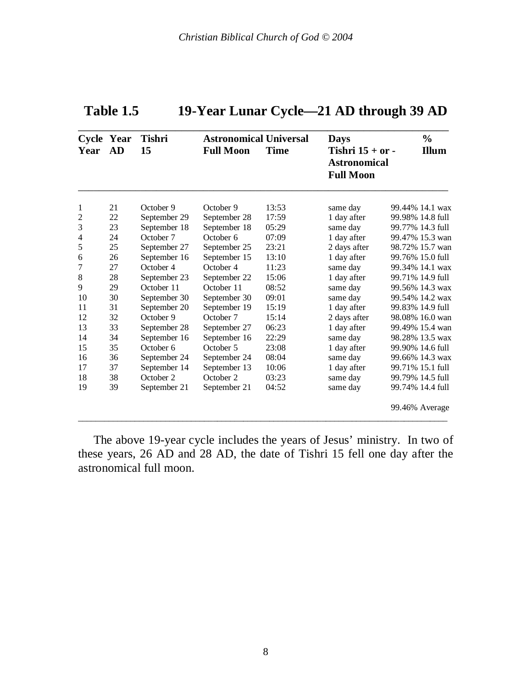| Year           | Cycle Year<br><b>AD</b> | <b>Tishri</b><br>15 | <b>Astronomical Universal</b><br><b>Full Moon</b> | <b>Time</b> | <b>Days</b><br>Tishri $15 + or$ -<br><b>Astronomical</b><br><b>Full Moon</b> | $\frac{0}{0}$<br><b>Illum</b> |
|----------------|-------------------------|---------------------|---------------------------------------------------|-------------|------------------------------------------------------------------------------|-------------------------------|
| 1              | 21                      | October 9           | October 9                                         | 13:53       | same day                                                                     | 99.44% 14.1 wax               |
| $\overline{2}$ | 22                      | September 29        | September 28                                      | 17:59       | 1 day after                                                                  | 99.98% 14.8 full              |
| 3              | 23                      | September 18        | September 18                                      | 05:29       | same day                                                                     | 99.77% 14.3 full              |
| $\overline{4}$ | 24                      | October 7           | October 6                                         | 07:09       | 1 day after                                                                  | 99.47% 15.3 wan               |
| 5              | 25                      | September 27        | September 25                                      | 23:21       | 2 days after                                                                 | 98.72% 15.7 wan               |
| 6              | 26                      | September 16        | September 15                                      | 13:10       | 1 day after                                                                  | 99.76% 15.0 full              |
| 7              | 27                      | October 4           | October 4                                         | 11:23       | same day                                                                     | 99.34% 14.1 wax               |
| 8              | 28                      | September 23        | September 22                                      | 15:06       | 1 day after                                                                  | 99.71% 14.9 full              |
| 9              | 29                      | October 11          | October 11                                        | 08:52       | same day                                                                     | 99.56% 14.3 wax               |
| 10             | 30                      | September 30        | September 30                                      | 09:01       | same day                                                                     | 99.54% 14.2 wax               |
| 11             | 31                      | September 20        | September 19                                      | 15:19       | 1 day after                                                                  | 99.83% 14.9 full              |
| 12             | 32                      | October 9           | October 7                                         | 15:14       | 2 days after                                                                 | 98.08% 16.0 wan               |
| 13             | 33                      | September 28        | September 27                                      | 06:23       | 1 day after                                                                  | 99.49% 15.4 wan               |
| 14             | 34                      | September 16        | September 16                                      | 22:29       | same day                                                                     | 98.28% 13.5 wax               |
| 15             | 35                      | October 6           | October 5                                         | 23:08       | 1 day after                                                                  | 99.90% 14.6 full              |
| 16             | 36                      | September 24        | September 24                                      | 08:04       | same day                                                                     | 99.66% 14.3 wax               |
| 17             | 37                      | September 14        | September 13                                      | 10:06       | 1 day after                                                                  | 99.71% 15.1 full              |
| 18             | 38                      | October 2           | October 2                                         | 03:23       | same day                                                                     | 99.79% 14.5 full              |
| 19             | 39                      | September 21        | September 21                                      | 04:52       | same day                                                                     | 99.74% 14.4 full              |
|                |                         |                     |                                                   |             |                                                                              | 99.46% Average                |

## **Table 1.5 19-Year Lunar Cycle—21 AD through 39 AD**

 The above 19-year cycle includes the years of Jesus' ministry. In two of these years, 26 AD and 28 AD, the date of Tishri 15 fell one day after the astronomical full moon.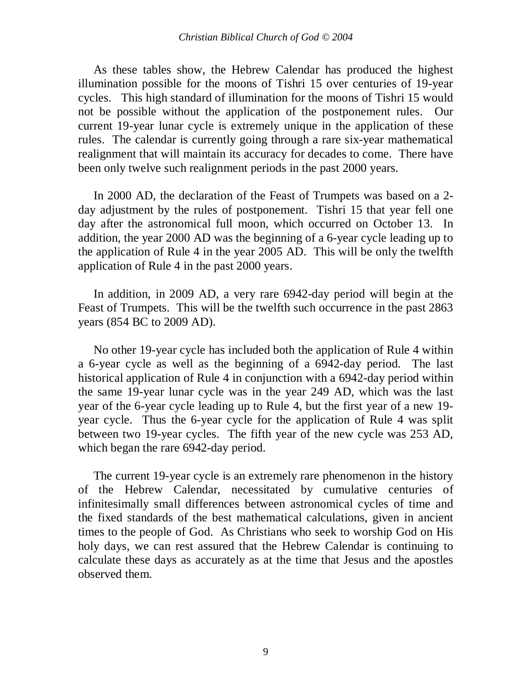As these tables show, the Hebrew Calendar has produced the highest illumination possible for the moons of Tishri 15 over centuries of 19-year cycles. This high standard of illumination for the moons of Tishri 15 would not be possible without the application of the postponement rules. Our current 19-year lunar cycle is extremely unique in the application of these rules. The calendar is currently going through a rare six-year mathematical realignment that will maintain its accuracy for decades to come. There have been only twelve such realignment periods in the past 2000 years.

 In 2000 AD, the declaration of the Feast of Trumpets was based on a 2 day adjustment by the rules of postponement. Tishri 15 that year fell one day after the astronomical full moon, which occurred on October 13. In addition, the year 2000 AD was the beginning of a 6-year cycle leading up to the application of Rule 4 in the year 2005 AD. This will be only the twelfth application of Rule 4 in the past 2000 years.

 In addition, in 2009 AD, a very rare 6942-day period will begin at the Feast of Trumpets. This will be the twelfth such occurrence in the past 2863 years (854 BC to 2009 AD).

 No other 19-year cycle has included both the application of Rule 4 within a 6-year cycle as well as the beginning of a 6942-day period. The last historical application of Rule 4 in conjunction with a 6942-day period within the same 19-year lunar cycle was in the year 249 AD, which was the last year of the 6-year cycle leading up to Rule 4, but the first year of a new 19 year cycle. Thus the 6-year cycle for the application of Rule 4 was split between two 19-year cycles. The fifth year of the new cycle was 253 AD, which began the rare 6942-day period.

 The current 19-year cycle is an extremely rare phenomenon in the history of the Hebrew Calendar, necessitated by cumulative centuries of infinitesimally small differences between astronomical cycles of time and the fixed standards of the best mathematical calculations, given in ancient times to the people of God. As Christians who seek to worship God on His holy days, we can rest assured that the Hebrew Calendar is continuing to calculate these days as accurately as at the time that Jesus and the apostles observed them.